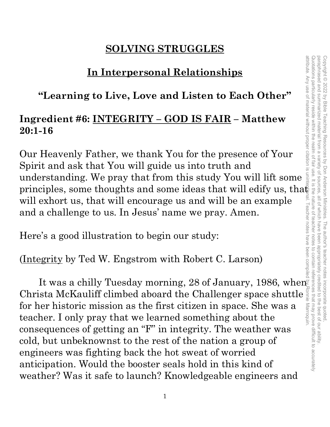### **SOLVING STRUGGLES**

### **In Interpersonal Relationships**

### **"Learning to Live, Love and Listen to Each Other"**

### **Ingredient #6: INTEGRITY – GOD IS FAIR – Matthew 20:1-16**

Our Heavenly Father, we thank You for the presence of Your Spirit and ask that You will guide us into truth and understanding. We pray that from this study You will lift some principles, some thoughts and some ideas that will edify us, tha $\ddot{\mathbf{\epsilon}}$ will exhort us, that will encourage us and will be an example and a challenge to us. In Jesus' name we pray. Amen.

Here's a good illustration to begin our study:

(Integrity by Ted W. Engstrom with Robert C. Larson)

It was a chilly Tuesday morning, 28 of January, 1986, when  $\bar{\mathbb{F}}$ Christa McKauliff climbed aboard the Challenger space shuttle for her historic mission as the first citizen in space. She was a teacher. I only pray that we learned something about the consequences of getting an "F" in integrity. The weather was cold, but unbeknownst to the rest of the nation a group of engineers was fighting back the hot sweat of worried anticipation. Would the booster seals hold in this kind of weather? Was it safe to launch? Knowledgeable engineers and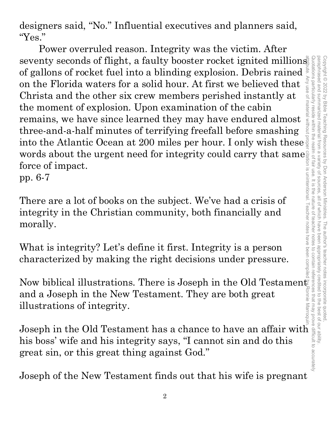attribute. Any use of material without proper citation is unintentional. Teacher notes have been compiled by Ronnie Marroquin.Quotations particularly reside within the realm of fair use. It is the nature of teacher notes to contain references that may prove difficult to accurately Copyright © 2022 by Bible Teaching Resources by Don Anderson Ministries. The author's teacher notes incorporate quoted,<br>paraphrased and summarized material from a variety of sources, all of which have been appropriately cr paraphrased and summarized material from a variety of sources, all of which have been appropriately credited to the best of our ability. Copyright © 2022 by Bible Teaching Resources by Don Anderson Ministries. The author's teacher notes incorporate quoted,

designers said, "No." Influential executives and planners said, "Yes."

Power overruled reason. Integrity was the victim. After seventy seconds of flight, a faulty booster rocket ignited millions of gallons of rocket fuel into a blinding explosion. Debris rained on the Florida waters for a solid hour. At first we believed that Christa and the other six crew members perished instantly at the moment of explosion. Upon examination of the cabin remains, we have since learned they may have endured almost three-and-a-half minutes of terrifying freefall before smashing into the Atlantic Ocean at 200 miles per hour. I only wish these  $\overline{\S}$ words about the urgent need for integrity could carry that same force of impact.

pp. 6-7

There are a lot of books on the subject. We've had a crisis of integrity in the Christian community, both financially and morally.

What is integrity? Let's define it first. Integrity is a person characterized by making the right decisions under pressure.

Now biblical illustrations. There is Joseph in the Old Testament and a Joseph in the New Testament. They are both great illustrations of integrity.

Joseph in the Old Testament has a chance to have an affair with his boss' wife and his integrity says, "I cannot sin and do this great sin, or this great thing against God."

Joseph of the New Testament finds out that his wife is pregnant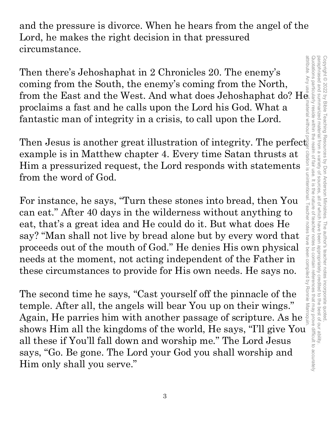and the pressure is divorce. When he hears from the angel of the Lord, he makes the right decision in that pressured circumstance.

Then there's Jehoshaphat in 2 Chronicles 20. The enemy's coming from the South, the enemy's coming from the North, from the East and the West. And what does Jehoshaphat do?  $H_{\mathbb{Q}}^{\frac{3}{8}}$ from the East and the West. And what does Jehoshaphat do? He proclaims a fast and he calls upon the Lord his God. What a fantastic man of integrity in a crisis, to call upon the Lord.

Then Jesus is another great illustration of integrity. The perfect example is in Matthew chapter 4. Every time Satan thrusts at Him a pressurized request, the Lord responds with statements from the word of God.

For instance, he says, "Turn these stones into bread, then You can eat." After 40 days in the wilderness without anything to eat, that's a great idea and He could do it. But what does He say? "Man shall not live by bread alone but by every word that proceeds out of the mouth of God." He denies His own physical needs at the moment, not acting independent of the Father in these circumstances to provide for His own needs. He says no.

The second time he says, "Cast yourself off the pinnacle of the temple. After all, the angels will bear You up on their wings." Again, He parries him with another passage of scripture. As he shows Him all the kingdoms of the world, He says, "I'll give You all these if You'll fall down and worship me." The Lord Jesus says, "Go. Be gone. The Lord your God you shall worship and Him only shall you serve."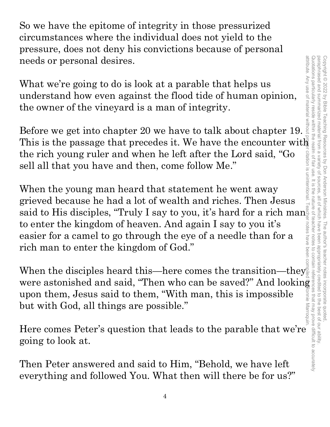So we have the epitome of integrity in those pressurized circumstances where the individual does not yield to the pressure, does not deny his convictions because of personal needs or personal desires.

What we're going to do is look at a parable that helps us understand how even against the flood tide of human opinion, the owner of the vineyard is a man of integrity.

Before we get into chapter 20 we have to talk about chapter 19. the rich young ruler and when he left after the Lord said, "Go sell all that you have and then, come follow Me."

Before we get into chapter 20 we have to talk about chapter 19.<br>
This is the passage that precedes it. We have the encounter with<br>
the rich young ruler and when he left after the Lord said, "Go<br>
sell all that you have and When the young man heard that statement he went away grieved because he had a lot of wealth and riches. Then Jesus said to His disciples, "Truly I say to you, it's hard for a rich man to enter the kingdom of heaven. And again I say to you it's easier for a camel to go through the eye of a needle than for a rich man to enter the kingdom of God."

When the disciples heard this—here comes the transition—they were astonished and said, "Then who can be saved?" And looking upon them, Jesus said to them, "With man, this is impossible but with God, all things are possible." upon them, Jesus said to them, "With man, this is impossible  $\frac{2}{3}$ <br>but with God, all things are possible."<br>Here comes Peter's question that leads to the parable that we're

going to look at.

Then Peter answered and said to Him, "Behold, we have left everything and followed You. What then will there be for us?"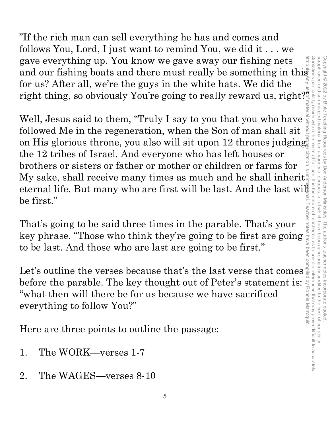"If the rich man can sell everything he has and comes and follows You, Lord, I just want to remind You, we did it . . . we gave everything up. You know we gave away our fishing nets for us? After all, we're the guys in the white hats. We did the right thing, so obviously You're going to really reward us, right?

gave everything up. You know we gave away our fishing nets<br>and our fishing boats and there must really be something in this<br>for us? After all, we're the guys in the white hats. We did the<br>right thing, so obviously You're Well, Jesus said to them, "Truly I say to you that you who have followed Me in the regeneration, when the Son of man shall sit on His glorious throne, you also will sit upon 12 thrones judging the 12 tribes of Israel. And everyone who has left houses or brothers or sisters or father or mother or children or farms for My sake, shall receive many times as much and he shall inherit eternal life. But many who are first will be last. And the last will be first."

That's going to be said three times in the parable. That's your to be last. And those who are last are going to be first."

That's going to be said three times in the parable. That's your<br>
key phrase. "Those who think they're going to be first are going<br>
to be last. And those who are last are going to be first."<br>
Let's outline the verses becau Let's outline the verses because that's the last verse that comes before the parable. The key thought out of Peter's statement is: "what then will there be for us because we have sacrificed everything to follow You?"

Here are three points to outline the passage:

- 1. The WORK—verses 1-7
- 2. The WAGES—verses 8-10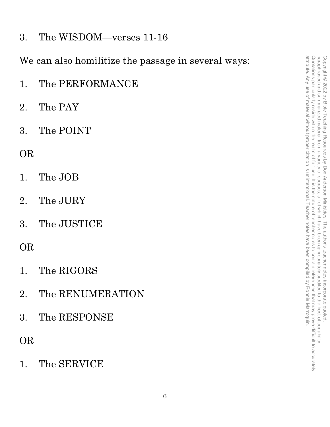3. The WISDOM—verses 11-16

We can also homilitize the passage in several ways:

- 1. The PERFORMANCE
- 2. The PAY
- 3. The POINT

### OR

- 1. The JOB
- 2. The JURY
- 3. The JUSTICE

### OR

- 1. The RIGORS
- 2. The RENUMERATION
- 3. The RESPONSE

### OR

1. The SERVICE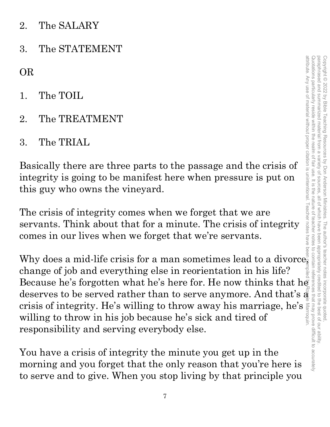- 2. The SALARY
- 3. The STATEMENT

OR

- 1. The TOIL
- 2. The TREATMENT
- 3. The TRIAL

Basically there are three parts to the passage and the crisis of integrity is going to be manifest here when pressure is put on this guy who owns the vineyard.

The crisis of integrity comes when we forget that we are servants. Think about that for a minute. The crisis of integrity comes in our lives when we forget that we're servants.

Why does a mid-life crisis for a man sometimes lead to a divorce, change of job and everything else in reorientation in his life? OR<br>
2. The TREATMENT<br>
2. The TREATMENT<br>
3. The TREATMENT<br>
3. The TRIAL,<br>
Basically there are three parts to the passage and the crisis of<br>
integrity is going to be manifest here when pressure is put on<br>
this guy who owns deserves to be served rather than to serve anymore. And that's  $\frac{3}{8}$  crisis of integrity. He's willing to throw away his marriage, he's  $\frac{3}{8}$  willing to throw in his job because he's sick and tired of crisis of integrity. He's willing to throw away his marriage, he's willing to throw in his job because he's sick and tired of responsibility and serving everybody else. attribute. Any use of material without proper citation is unintentional. Teacher notes have been compiled by Ronnie Marroquin.

You have a crisis of integrity the minute you get up in the morning and you forget that the only reason that you're here is to serve and to give. When you stop living by that principle you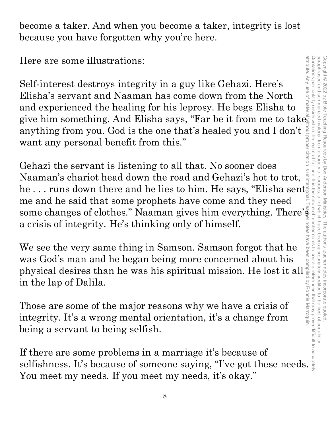become a taker. And when you become a taker, integrity is lost because you have forgotten why you're here.

Here are some illustrations:

Self-interest destroys integrity in a guy like Gehazi. Here's Elisha's servant and Naaman has come down from the North and experienced the healing for his leprosy. He begs Elisha to give him something. And Elisha says, "Far be it from me to take anything from you. God is the one that's healed you and I don't want any personal benefit from this."

Gehazi the servant is listening to all that. No sooner does Naaman's chariot head down the road and Gehazi's hot to trot, he . . . runs down there and he lies to him. He says, "Elisha sent me and he said that some prophets have come and they need some changes of clothes." Naaman gives him everything. There's a crisis of integrity. He's thinking only of himself.

We see the very same thing in Samson. Samson forgot that he was God's man and he began being more concerned about his physical desires than he was his spiritual mission. He lost it all in the lap of Dalila.

Those are some of the major reasons why we have a crisis of integrity. It's a wrong mental orientation, it's a change from being a servant to being selfish.

If there are some problems in a marriage it's because of selfishness. It's because of someone saying, "I've got these needs. You meet my needs. If you meet my needs, it's okay."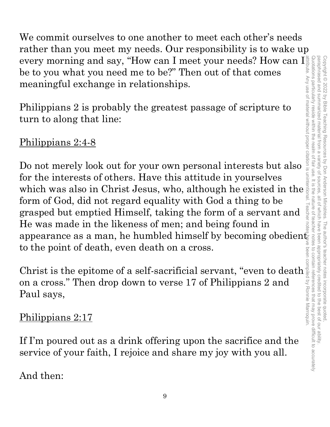We commit ourselves to one another to meet each other's needs rather than you meet my needs. Our responsibility is to wake up every morning and say, "How can I meet your needs? How can I be to you what you need me to be?" Then out of that comes meaningful exchange in relationships.

Philippians 2 is probably the greatest passage of scripture to turn to along that line:

### Philippians 2:4-8

Do not merely look out for your own personal interests but also for the interests of others. Have this attitude in yourselves which was also in Christ Jesus, who, although he existed in the form of God, did not regard equality with God a thing to be grasped but emptied Himself, taking the form of a servant and He was made in the likeness of men; and being found in appearance as a man, he humbled himself by becoming obedient to the point of death, even death on a cross.

Christ is the epitome of a self-sacrificial servant, "even to death on a cross." Then drop down to verse 17 of Philippians 2 and Paul says,

### Philippians 2:17

If I'm poured out as a drink offering upon the sacrifice and the service of your faith, I rejoice and share my joy with you all.

And then: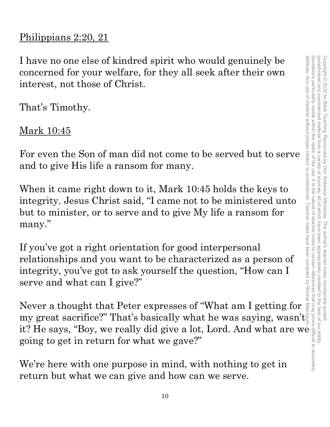### Philippians 2:20, 21

I have no one else of kindred spirit who would genuinely be concerned for your welfare, for they all seek after their own interest, not those of Christ.

That's Timothy.

Mark 10:45

For even the Son of man did not come to be served but to serve and to give His life a ransom for many.

When it came right down to it, Mark 10:45 holds the keys to integrity. Jesus Christ said, "I came not to be ministered unto but to minister, or to serve and to give My life a ransom for many."

If you've got a right orientation for good interpersonal relationships and you want to be characterized as a person of integrity, you've got to ask yourself the question, "How can I serve and what can I give?"

Never a thought that Peter expresses of "What am I getting for my great sacrifice?" That's basically what he was saying, wasn't it? He says, "Boy, we really did give a lot, Lord. And what are we going to get in return for what we gave?"

We're here with one purpose in mind, with nothing to get in return but what we can give and how can we serve.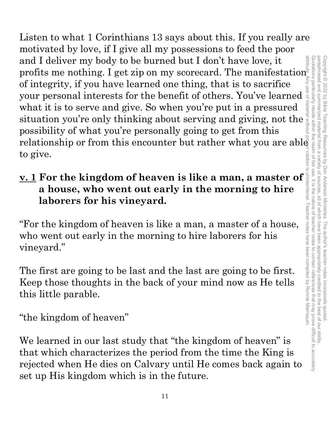Listen to what 1 Corinthians 13 says about this. If you really are motivated by love, if I give all my possessions to feed the poor and I deliver my body to be burned but I don't have love, it profits me nothing. I get zip on my scorecard. The manifestation of integrity, if you have learned one thing, that is to sacrifice your personal interests for the benefit of others. You've learned  $\frac{5}{3}$ what it is to serve and give. So when you're put in a pressured situation you're only thinking about serving and giving, not the possibility of what you're personally going to get from this relationship or from this encounter but rather what you are able to give. attribute. Any use of material without proper citation is unintentional. Teacher notes have been compiled by Ronnie Marroquin.

# to give.<br>
<u>v. 1</u> For the kingdom of heaven is like a man, a master of  $\frac{1}{2}$ <br>
a house, who went out early in the morning to hire<br>
laborars for his vineyard **a house, who went out early in the morning to hire laborers for his vineyard.**

"For the kingdom of heaven is like a man, a master of a house, who went out early in the morning to hire laborers for his vineyard."

The first are going to be last and the last are going to be first. Keep those thoughts in the back of your mind now as He tells this little parable.

"the kingdom of heaven"

We learned in our last study that "the kingdom of heaven" is that which characterizes the period from the time the King is rejected when He dies on Calvary until He comes back again to set up His kingdom which is in the future.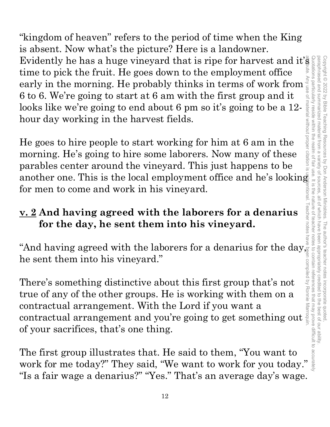"kingdom of heaven" refers to the period of time when the King is absent. Now what's the picture? Here is a landowner. Evidently he has a huge vineyard that is ripe for harvest and it's time to pick the fruit. He goes down to the employment office early in the morning. He probably thinks in terms of work from 6 to 6. We're going to start at 6 am with the first group and it looks like we're going to end about 6 pm so it's going to be a 12 hour day working in the harvest fields. attribute. Any use of material without proper citation is unintentional. Teacher notes have been compiled by Ronnie Marroquin.

He goes to hire people to start working for him at 6 am in the morning. He's going to hire some laborers. Now many of these parables center around the vineyard. This just happens to be another one. This is the local employment office and he's looking for men to come and work in his vineyard.

Copyright © 2022 by Bible Teaching Resources by Don Anderson Ministries. The author's teacher notes incorporate quoted,

by Don Anderson Ministries. The author's teacher notes incorporate quoted

all of which have been appropriately credited to the best of our ability

paraphrased and summarized material from a variety of sources, all of which have been appropriately credited to the best of our ability.

variety of sources.

paraphrased and summarized material from a Copyright © 2022 by Bible Teaching Resources

### **v. 2 And having agreed with the laborers for a denarius for the day, he sent them into his vineyard.**

"And having agreed with the laborers for a denarius for the day, $\frac{9}{8}$ he sent them into his vineyard."

There's something distinctive about this first group that's not true of any of the other groups. He is working with them on a contractual arrangement. With the Lord if you want a contractual arrangement and you're going to get something out of your sacrifices, that's one thing.

The first group illustrates that. He said to them, "You want to work for me today?" They said, "We want to work for you today." "Is a fair wage a denarius?" "Yes." That's an average day's wage. Quotations particularly reside within the realm of fair use. It is the nature of teacher notes to contain references that may prove difficult to accurately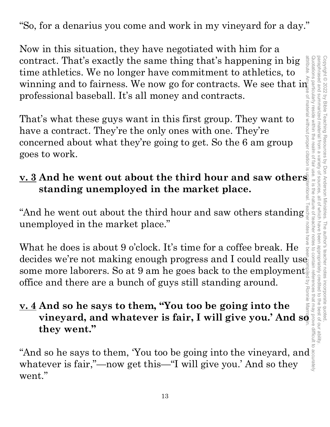"So, for a denarius you come and work in my vineyard for a day."

Now in this situation, they have negotiated with him for a contract. That's exactly the same thing that's happening in big time athletics. We no longer have commitment to athletics, to winning and to fairness. We now go for contracts. We see that in professional baseball. It's all money and contracts.

That's what these guys want in this first group. They want to have a contract. They're the only ones with one. They're concerned about what they're going to get. So the 6 am group goes to work.

### **<u>v. 3</u> And he went out about the third hour and saw others**  $\frac{1}{2}$ **standing unemployed in the market place.**

"And he went out about the third hour and saw others standing unemployed in the market place."

What he does is about 9 o'clock. It's time for a coffee break. He decides we're not making enough progress and I could really use some more laborers. So at 9 am he goes back to the employment office and there are a bunch of guys still standing around.

### **v. 4 And so he says to them, "You too be going into the vineyard, and whatever is fair, I will give you.' And so they went."**

"And so he says to them, 'You too be going into the vineyard, and whatever is fair,"—now get this—"I will give you.' And so they went."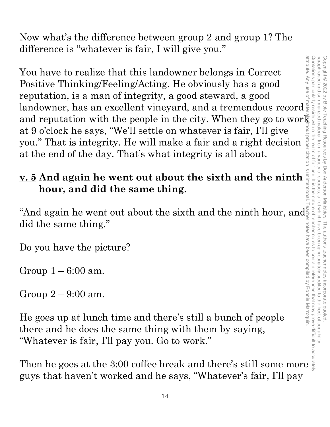Now what's the difference between group 2 and group 1? The difference is "whatever is fair, I will give you."

You have to realize that this landowner belongs in Correct Positive Thinking/Feeling/Acting. He obviously has a good reputation, is a man of integrity, a good steward, a good landowner, has an excellent vineyard, and a tremendous record and reputation with the people in the city. When they go to work at 9 o'clock he says, "We'll settle on whatever is fair, I'll give you." That is integrity. He will make a fair and a right decision at the end of the day. That's what integrity is all about. **v** you." That is integrity. He will make a fair and a right decision at the end of the day. That's what integrity is all about.<br> **v. 5** And again he went out about the sixth and the ninth hour, and did the same thing. You have to realize that this landowner belongs in Correct<br>
Positive Thinking/Feeling/Acting. He obviously has a good<br>
landowner, has an axcellent vineyard, and a tremendous record<br>
and reputation with the poope in the ci

# **hour, and did the same thing.**

"And again he went out about the sixth and the ninth hour, and did the same thing."

Do you have the picture?

Group  $1-6:00$  am.

Group 2 – 9:00 am.

He goes up at lunch time and there's still a bunch of people there and he does the same thing with them by saying, "Whatever is fair, I'll pay you. Go to work."

guys that haven't worked and he says, "Whatever's fair, I'll pay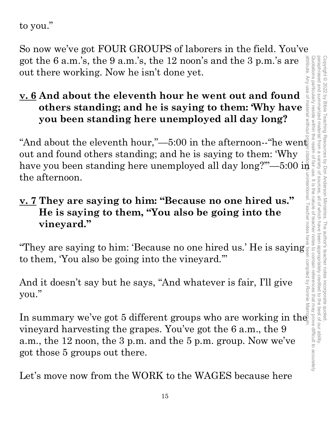to you."

So now we've got FOUR GROUPS of laborers in the field. You've got the 6 a.m.'s, the 9 a.m.'s, the 12 noon's and the 3 p.m.'s are attribute. Any out there working. Now he isn't done yet.

### **v. 6 And about the eleventh hour he went out and found others standing; and he is saying to them: 'Why have you been standing here unemployed all day long?**

"And about the eleventh hour,"—5:00 in the afternoon--"he went out and found others standing; and he is saying to them: 'Why have you been standing here unemployed all day long?"'—5:00 in the afternoon.

# **v. 7 They are saying to him: "Because no one hired us." He is saying to them, "You also be going into the vineyard."**   $\frac{V \cdot V}{V}$  They are saying to him: 'Because no one hired us.<br>
He is saying to them, "You also be going into the<br>
vineyard."<br>
"They are saying to him: 'Because no one hired us.' He is saying

to them, 'You also be going into the vineyard.'"

And it doesn't say but he says, "And whatever is fair, I'll give you."

"They are saying to him: 'Because no one hired us.' He is saying  $\frac{3}{8}$  and to them, 'You also be going into the vineyard."<br>And it doesn't say but he says, "And whatever is fair, I'll give you."<br>In summary we've got 5 vineyard harvesting the grapes. You've got the 6 a.m., the 9 a.m., the 12 noon, the 3 p.m. and the 5 p.m. group. Now we've got those 5 groups out there.

Let's move now from the WORK to the WAGES because here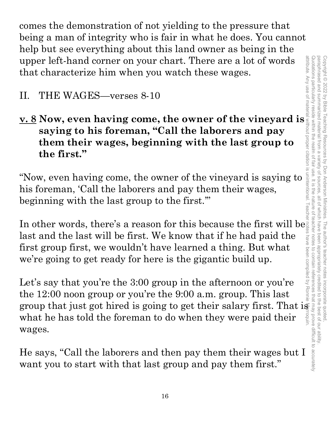comes the demonstration of not yielding to the pressure that being a man of integrity who is fair in what he does. You cannot help but see everything about this land owner as being in the upper left-hand corner on your chart. There are a lot of words that characterize him when you watch these wages.

- II. THE WAGES—verses 8-10
- **v. 8 Now, even having come, the owner of the vineyard is saying to his foreman, "Call the laborers and pay them their wages, beginning with the last group to the first."**

"Now, even having come, the owner of the vineyard is saying to his foreman, 'Call the laborers and pay them their wages, beginning with the last group to the first.'"

In other words, there's a reason for this because the first will be last and the last will be first. We know that if he had paid the first group first, we wouldn't have learned a thing. But what we're going to get ready for here is the gigantic build up.

Let's say that you're the 3:00 group in the afternoon or you're the 12:00 noon group or you're the 9:00 a.m. group. This last group that just got hired is going to get their salary first. That is what he has told the foreman to do when they were paid their wages.

He says, "Call the laborers and then pay them their wages but I want you to start with that last group and pay them first."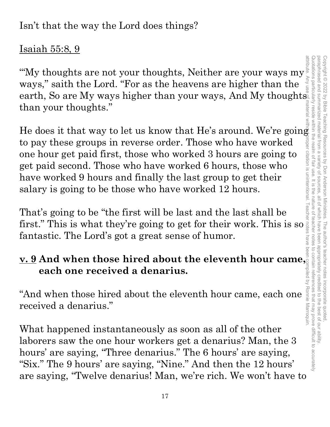Isn't that the way the Lord does things?

### Isaiah 55:8, 9

"My thoughts are not your thoughts, Neither are your ways  $my_{\frac{1}{2}}^{\frac{3}{2}}$ <br>ways " saith the Lord "For as the heavens are higher than the ways," saith the Lord. "For as the heavens are higher than the earth, So are My ways higher than your ways, And My thoughts. than your thoughts."

He does it that way to let us know that He's around. We're going to pay these groups in reverse order. Those who have worked one hour get paid first, those who worked 3 hours are going to get paid second. Those who have worked 6 hours, those who have worked 9 hours and finally the last group to get their salary is going to be those who have worked 12 hours.

That's going to be "the first will be last and the last shall be first." This is what they're going to get for their work. This is so fantastic. The Lord's got a great sense of humor.

### **v. 9 And when those hired about the eleventh hour came, each one received a denarius.**

"And when those hired about the eleventh hour came, each one received a denarius."

What happened instantaneously as soon as all of the other laborers saw the one hour workers get a denarius? Man, the 3 hours' are saying, "Three denarius." The 6 hours' are saying, "Six." The 9 hours' are saying, "Nine." And then the 12 hours' are saying, "Twelve denarius! Man, we're rich. We won't have to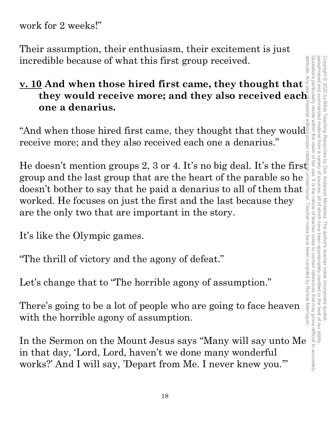work for 2 weeks!"

Their assumption, their enthusiasm, their excitement is just incredible because of what this first group received.

### **v. 10 And when those hired first came, they thought that they would receive more; and they also received each one a denarius.**

"And when those hired first came, they thought that they would<br>receive more; and they also received each one a denarius." receive more; and they also received each one a denarius."

He doesn't mention groups 2, 3 or 4. It's no big deal. It's the first group and the last group that are the heart of the parable so he doesn't bother to say that he paid a denarius to all of them that worked. He focuses on just the first and the last because they are the only two that are important in the story.

It's like the Olympic games.

"The thrill of victory and the agony of defeat."

Let's change that to "The horrible agony of assumption."

There's going to be a lot of people who are going to face heaven with the horrible agony of assumption.

In the Sermon on the Mount Jesus says "Many will say unto Me in that day, 'Lord, Lord, haven't we done many wonderful works?' And I will say, 'Depart from Me. I never knew you.'"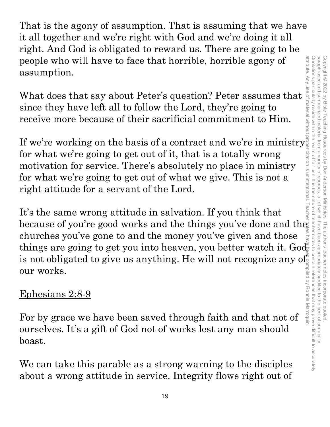That is the agony of assumption. That is assuming that we have it all together and we're right with God and we're doing it all right. And God is obligated to reward us. There are going to be people who will have to face that horrible, horrible agony of assumption.

What does that say about Peter's question? Peter assumes that since they have left all to follow the Lord, they're going to receive more because of their sacrificial commitment to Him.

If we're working on the basis of a contract and we're in ministry for what we're going to get out of it, that is a totally wrong motivation for service. There's absolutely no place in ministry for what we're going to get out of what we give. This is not a right attitude for a servant of the Lord.

It's the same wrong attitude in salvation. If you think that because of you're good works and the things you've done and the churches you've gone to and the money you've given and those churches you've gone to and the money you've given and those things are going to get you into heaven, you better watch it. Godinal is not obligated to give us anything. He will not recognize any of our works.<br>
<u>Ephesians </u> is not obligated to give us anything. He will not recognize any of<br>our works.<br>Ephesians 2:8-9<br>For by grace we have been saved through faith and that not of our works.

### Ephesians 2:8-9

For by grace we have been saved through faith and that not of ourselves. It's a gift of God not of works lest any man should boast.

We can take this parable as a strong warning to the disciples about a wrong attitude in service. Integrity flows right out of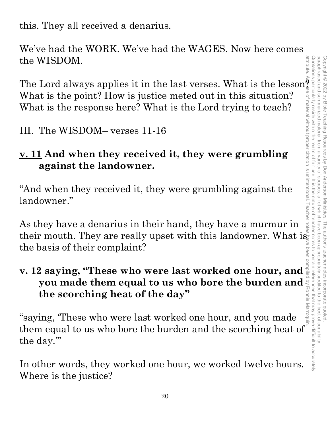this. They all received a denarius.

We've had the WORK. We've had the WAGES. Now here comes the WISDOM.

The Lord always applies it in the last verses. What is the lesson<sup> $\frac{3}{2}$ </sup> What is the point? How is justice meted out in this situation? What is the response here? What is the Lord trying to teach?

III. The WISDOM– verses 11-16

### **v. 11 And when they received it, they were grumbling against the landowner.**

"And when they received it, they were grumbling against the landowner."

As they have a denarius in their hand, they have a murmur in their mouth. They are really upset with this landowner. What is the basis of their complaint?

## **<u>v. 12</u> saying, "These who were last worked one hour, and**  $\frac{3}{8}$  **you made them equal to us who bore the burden and**  $\frac{3}{8}$  **the scorching heat of the day" you made them equal to us who bore the burden and the scorching heat of the day"**

"saying, 'These who were last worked one hour, and you made them equal to us who bore the burden and the scorching heat of the day.'"

In other words, they worked one hour, we worked twelve hours. Where is the justice?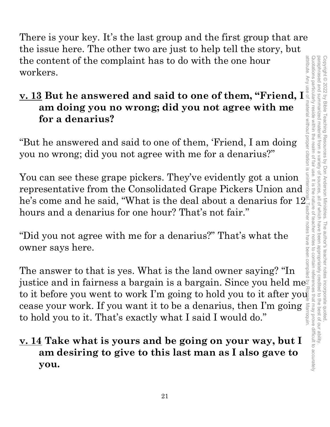There is your key. It's the last group and the first group that are the issue here. The other two are just to help tell the story, but the content of the complaint has to do with the one hour workers.

### **v. 13 But he answered and said to one of them, "Friend, I am doing you no wrong; did you not agree with me for a denarius?**

"But he answered and said to one of them, 'Friend, I am doing you no wrong; did you not agree with me for a denarius?"

You can see these grape pickers. They've evidently got a union representative from the Consolidated Grape Pickers Union and he's come and he said, "What is the deal about a denarius for  $12\overset{\circ}{_-}$ hours and a denarius for one hour? That's not fair."

"Did you not agree with me for a denarius?" That's what the owner says here.

The answer to that is yes. What is the land owner saying? "In justice and in fairness a bargain is a bargain. Since you held me $\bar{\S}$ the content of the complaint has to do with the one hour<br>
workers.<br>  $\frac{1}{2}$  workers.<br>
and doing you no wrong; did you not agree with me<br>
for a denarius?<br>
"But he answered and said to one of them, 'Friend, I am doing<br>
"B cease your work. If you want it to be a denarius, then I'm going  $\frac{1}{2}$  to hold you to it. That's exactly what I said I would do." to hold you to it. That's exactly what I said I would do."

### **v. 14 Take what is yours and be going on your way, but I am desiring to give to this last man as I also gave to you.**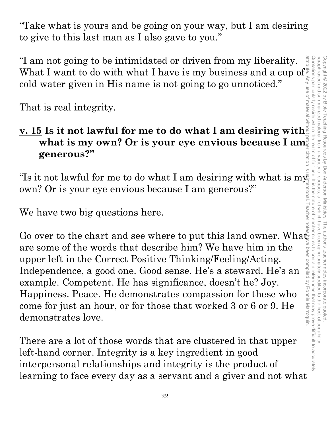attribute. Any use of material without proper citation is unintentional. Teacher notes have been compiled by Ronnie Marroquin.Quotations particularly reside Quotations particularly reside within the realm of fair use. It is the nature of teacher notes to contain references that may prove difficult to accurately paraphrased and summarized paraphrased and summarized material from a variety of sources, all of which have been appropriately credited to the best of our ability. Copyright @ 2022 by Bible Copyright © 2022 by Bible Teaching Resources by Don Anderson Ministries. The author's teacher notes incorporate quoted, leaching material from a **Resources** variety of sources by Don Anderson Ministries. n Ministries. The author's teacher notes incorporate quoted,<br>, all of which have been appropriately credited to the best of our ability

"Take what is yours and be going on your way, but I am desiring to give to this last man as I also gave to you."

"I am not going to be intimidated or driven from my liberality. What I want to do with what I have is my business and a cup of  $\mathbb S$ cold water given in His name is not going to go unnoticed."

That is real integrity.

## **<u>v. 15</u> Is it not lawful for me to do what I am desiring with what is my own? Or is a set of the set of the set of the set of the set of the set of the set of the set of the set of the set of the set of the set of the set what is my own? Or is your eye envious because I am. generous?"**

"Is it not lawful for me to do what I am desiring with what is my own? Or is your eye envious because I am generous?"

We have two big questions here.

Go over to the chart and see where to put this land owner. What are some of the words that describe him? We have him in the upper left in the Correct Positive Thinking/Feeling/Acting. Independence, a good one. Good sense. He's a steward. He's an example. Competent. He has significance, doesn't he? Joy. Happiness. Peace. He demonstrates compassion for these who come for just an hour, or for those that worked 3 or 6 or 9. He demonstrates love.

There are a lot of those words that are clustered in that upper left-hand corner. Integrity is a key ingredient in good interpersonal relationships and integrity is the product of learning to face every day as a servant and a giver and not what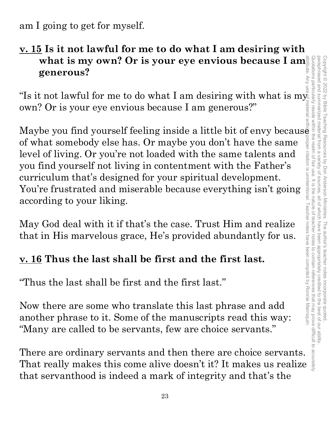am I going to get for myself.

### **v. 15 Is it not lawful for me to do what I am desiring with what is my own? Or is your eye envious because I am generous?**

"Is it not lawful for me to do what I am desiring with what is my own? Or is your eye envious because I am generous?"

Maybe you find yourself feeling inside a little bit of envy because<br>of what somebody else has. Or maybe you don't have the same<br>level of living. Or you're not loaded with the same talents and<br>you find yourself not living of what somebody else has. Or maybe you don't have the same level of living. Or you're not loaded with the same talents and you find yourself not living in contentment with the Father's curriculum that's designed for your spiritual development. You're frustrated and miserable because everything isn't going according to your liking.

May God deal with it if that's the case. Trust Him and realize that in His marvelous grace, He's provided abundantly for us.

### **v. 16 Thus the last shall be first and the first last.**

"Thus the last shall be first and the first last."

Now there are some who translate this last phrase and add another phrase to it. Some of the manuscripts read this way: "Many are called to be servants, few are choice servants."

There are ordinary servants and then there are choice servants. That really makes this come alive doesn't it? It makes us realize that servanthood is indeed a mark of integrity and that's the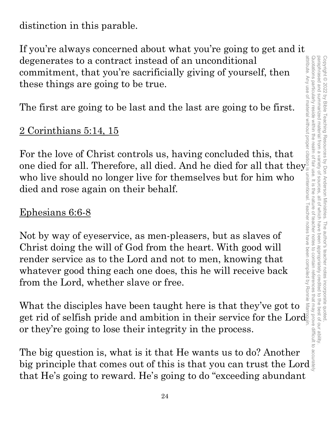distinction in this parable.

If you're always concerned about what you're going to get and it degenerates to a contract instead of an unconditional commitment, that you're sacrificially giving of yourself, then these things are going to be true.

The first are going to be last and the last are going to be first.

### 2 Corinthians 5:14, 15

For the love of Christ controls us, having concluded this, that one died for all. Therefore, all died. And he died for all that they  $\frac{1}{\omega}$ who live should no longer live for themselves but for him who died and rose again on their behalf.

### Ephesians 6:6-8

Not by way of eyeservice, as men-pleasers, but as slaves of Christ doing the will of God from the heart. With good will render service as to the Lord and not to men, knowing that whatever good thing each one does, this he will receive back from the Lord, whether slave or free.

What the disciples have been taught here is that they've got to get rid of selfish pride and ambition in their service for the Lord or they're going to lose their integrity in the process. attribute. Any use of material without proper citation is unintentional. Teacher notes have been compiled by Ronnie Marroquin.

The big question is, what is it that He wants us to do? Another big principle that comes out of this is that you can trust the Lord that He's going to reward. He's going to do "exceeding abundant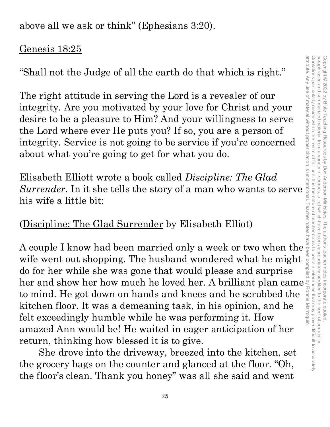above all we ask or think" (Ephesians 3:20).

### Genesis 18:25

"Shall not the Judge of all the earth do that which is right."

The right attitude in serving the Lord is a revealer of our integrity. Are you motivated by your love for Christ and your desire to be a pleasure to Him? And your willingness to serve the Lord where ever He puts you? If so, you are a person of integrity. Service is not going to be service if you're concerned about what you're going to get for what you do. **Shall not the Judge of all the earth do that which is right."**<br>
The right attitude in serving the Lord is a revealer of our<br>
integrity. Are you motivated by your love for Christ and your<br>
desire to be a pleasure to Him? A

Elisabeth Elliott wrote a book called *Discipline: The Glad*  his wife a little bit:

### (Discipline: The Glad Surrender by Elisabeth Elliot)

A couple I know had been married only a week or two when the wife went out shopping. The husband wondered what he might do for her while she was gone that would please and surprise wife went out shopping. The husband wondered what he might do for her while she was gone that would please and surprise her and show her how much he loved her. A brilliant plan came to mind. He got down on hands and knees and he scrubbed the kitchen floor. It was a demeaning task, in his opinion, and he felt exceedingly humble while he was performing it. How amazed Ann would be! He waited in eager anticipation of her return, thinking how blessed it is to give.

She drove into the driveway, breezed into the kitchen, set the grocery bags on the counter and glanced at the floor. "Oh, the floor's clean. Thank you honey" was all she said and went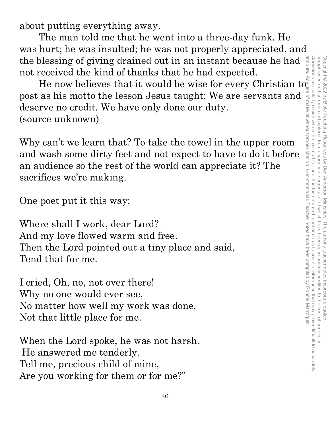attribute. Any use of material without proper citation is unintentional. Teacher notes have been compiled by Ronnie Marroquin.Quotations particularly reside within the realm of fair use. It is the nature of teacher notes to contain references that may prove difficult to accurately Quotations particularly reside within the realm of fair use. It is the nature of teacher notes to contain references that may prove difficult to accurately paraphrased and summarized material from a variety of sources paraphrased and summarized material from a variety of sources, all of which have been appropriately credited to the best of our ability. Copyright © 2022 by Bible Teaching Resources by Don Anderson Ministries. The author's teacher notes incorporate quoted Copyright © 2022 by Bible Teaching Resources by Don Anderson Ministries. The author's teacher notes incorporate quoted, all of which have been appropriately credited to the best of our ability

about putting everything away.

The man told me that he went into a three-day funk. He was hurt; he was insulted; he was not properly appreciated, and the blessing of giving drained out in an instant because he had not received the kind of thanks that he had expected.

He now believes that it would be wise for every Christian  $\mathrm{to}_{\mathrm{E}}^{\mathrm{E}}$ post as his motto the lesson Jesus taught: We are servants and deserve no credit. We have only done our duty. (source unknown)

Why can't we learn that? To take the towel in the upper room and wash some dirty feet and not expect to have to do it before an audience so the rest of the world can appreciate it? The sacrifices we're making.

One poet put it this way:

Where shall I work, dear Lord? And my love flowed warm and free. Then the Lord pointed out a tiny place and said, Tend that for me.

I cried, Oh, no, not over there! Why no one would ever see, No matter how well my work was done, Not that little place for me.

When the Lord spoke, he was not harsh. He answered me tenderly. Tell me, precious child of mine, Are you working for them or for me?"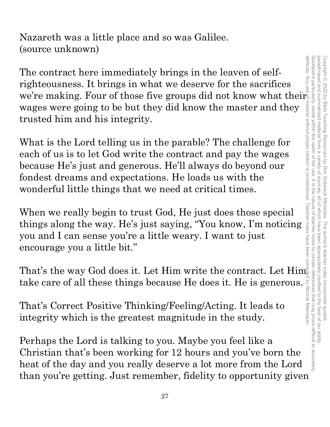Nazareth was a little place and so was Galilee. (source unknown)

The contract here immediately brings in the leaven of selfrighteousness. It brings in what we deserve for the sacrifices we're making. Four of those five groups did not know what their wages were going to be but they did know the master and they trusted him and his integrity.

What is the Lord telling us in the parable? The challenge for each of us is to let God write the contract and pay the wages because He's just and generous. He'll always do beyond our fondest dreams and expectations. He loads us with the wonderful little things that we need at critical times.

When we really begin to trust God, He just does those special things along the way. He's just saying, "You know, I'm noticing you and I can sense you're a little weary. I want to just encourage you a little bit."

That's the way God does it. Let Him write the contract. Let Him take care of all these things because He does it. He is generous.

That's Correct Positive Thinking/Feeling/Acting. It leads to integrity which is the greatest magnitude in the study.

Perhaps the Lord is talking to you. Maybe you feel like a Christian that's been working for 12 hours and you've born the heat of the day and you really deserve a lot more from the Lord than you're getting. Just remember, fidelity to opportunity given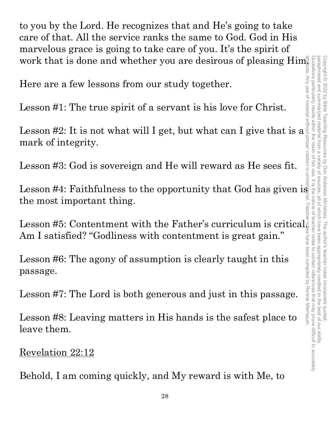to you by the Lord. He recognizes that and He's going to take care of that. All the service ranks the same to God. God in His marvelous grace is going to take care of you. It's the spirit of work that is done and whether you are desirous of pleasing Him.

Here are a few lessons from our study together.

Lesson #1: The true spirit of a servant is his love for Christ.

Lesson #2: It is not what will I get, but what can I give that is a  $\frac{2}{3}$  mark of integrity.<br>Lesson #3: God is sovereign and He will reward as He sees fit. mark of integrity.

Lesson #3: God is sovereign and He will reward as He sees fit.

Lesson #4: Faithfulness to the opportunity that God has given is  $\frac{1}{2}$ the most important thing.

Lesson #5: Contentment with the Father's curriculum is critical Am I satisfied? "Godliness with contentment is great gain."

Lesson #6: The agony of assumption is clearly taught in this passage.

Lesson #7: The Lord is both generous and just in this passage.

Lesson #8: Leaving matters in His hands is the safest place to leave them.

Revelation 22:12

Behold, I am coming quickly, and My reward is with Me, to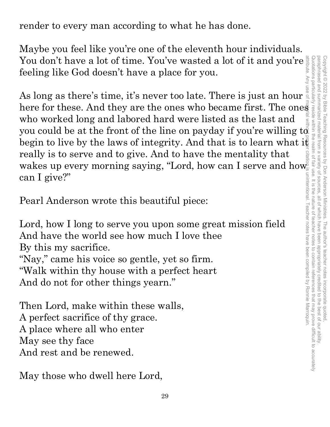render to every man according to what he has done.

Maybe you feel like you're one of the eleventh hour individuals. You don't have a lot of time. You've wasted a lot of it and you're feeling like God doesn't have a place for you.

As long as there's time, it's never too late. There is just an hour You don't have a lot of time. You've wasted a lot of it and you're<br>feeling like God doesn't have a place for you.<br>As long as there's time, it's never too late. There is just an hour<br>who worked long and labored hard were l who worked long and labored hard were listed as the last and who worked joing and rappred nard were insted as the last and you could be at the front of the line on payday if you're willing  $t\alpha$ begin to live by the laws of integrity. And that is to learn what i $\bar{\mathfrak{k}}$ really is to serve and to give. And to have the mentality that wakes up every morning saying, "Lord, how can I serve and how can I give?"

Pearl Anderson wrote this beautiful piece:

Lord, how I long to serve you upon some great mission field And have the world see how much I love thee By this my sacrifice. "Nay," came his voice so gentle, yet so firm. "Walk within thy house with a perfect heart And do not for other things yearn."

Then Lord, make within these walls, A perfect sacrifice of thy grace. A place where all who enter May see thy face And rest and be renewed.

May those who dwell here Lord,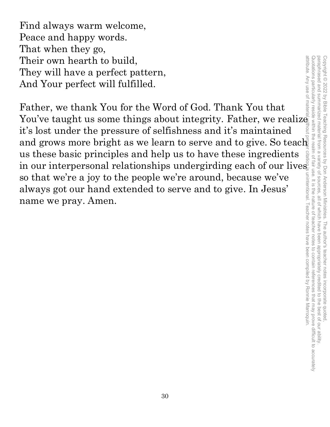Find always warm welcome, Peace and happy words. That when they go, Their own hearth to build, They will have a perfect pattern, And Your perfect will fulfilled.

Father, we thank You for the Word of God. Thank You that You've taught us some things about integrity. Father, we realize it's lost under the pressure of selfishness and it's maintained and grows more bright as we learn to serve and to give. So teach us these basic principles and help us to have these ingredients in our interpersonal relationships undergirding each of our lives. so that we're a joy to the people we're around, because we've always got our hand extended to serve and to give. In Jesus' name we pray. Amen. attribute. Any use of material without proper citation is unintentional. Teacher notes have been compiled by Ronnie Marroquin.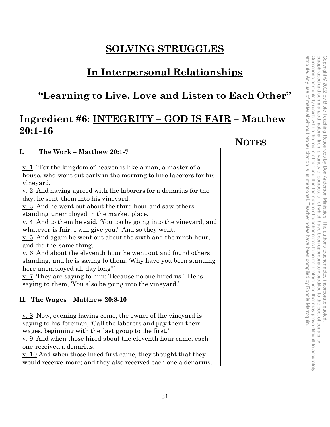### **SOLVING STRUGGLES**

### **In Interpersonal Relationships**

### **"Learning to Live, Love and Listen to Each Other"**

### **Ingredient #6: INTEGRITY – GOD IS FAIR – Matthew 20:1-16**

#### **I. The Work – Matthew 20:1-7**

v. 1 "For the kingdom of heaven is like a man, a master of a house, who went out early in the morning to hire laborers for his vineyard.

v. 2 And having agreed with the laborers for a denarius for the day, he sent them into his vineyard.

v. 3 And he went out about the third hour and saw others standing unemployed in the market place.

v. 4 And to them he said, 'You too be going into the vineyard, and whatever is fair, I will give you.' And so they went.

v. 5 And again he went out about the sixth and the ninth hour, and did the same thing.

v. 6 And about the eleventh hour he went out and found others standing; and he is saying to them: 'Why have you been standing here unemployed all day long?'

v. 7 They are saying to him: 'Because no one hired us.' He is saying to them, 'You also be going into the vineyard.'

#### **II. The Wages – Matthew 20:8-10**

v. 8 Now, evening having come, the owner of the vineyard is saying to his foreman, 'Call the laborers and pay them their wages, beginning with the last group to the first.'

v. 9 And when those hired about the eleventh hour came, each one received a denarius.

v. 10 And when those hired first came, they thought that they would receive more; and they also received each one a denarius.

### **NOTES**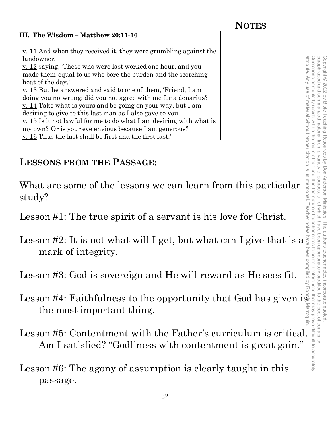#### **III. The Wisdom – Matthew 20:11-16**

 **NOTES**

<u>v. 11</u> And when they received it, they were grumbling against the landowner, <u>v. 12</u> saying, 'These who were last worked one hour, and you

made them equal to us who bore the burden and the scorching heat of the day.'

v. 13 But he answered and said to one of them, 'Friend, I am doing you no wrong; did you not agree with me for a denarius? <u>v. 14</u> Take what is yours and be going on your way, but I am desiring to give to this last man as I also gave to you. <u>v. 15</u> Is it not lawful for me to do what I am desiring with what is my own? Or is your eye envious because I am generous? v. 16 Thus the last shall be first and the first last.'

### **LESSONS FROM THE PASSAGE:**

What are some of the lessons we can learn from this particular study?

Lesson #1: The true spirit of a servant is his love for Christ.

Lesson #2: It is not what will I get, but what can I give that is a mark of integrity.

Lesson #3: God is sovereign and He will reward as He sees fit.

- Lesson #4: Faithfulness to the opportunity that God has given is the most important thing.
- Lesson #5: Contentment with the Father's curriculum is critical. Am I satisfied? "Godliness with contentment is great gain."
- Lesson #6: The agony of assumption is clearly taught in this passage.

The author's teacher notes incorporate quoted

Copyright © 2022 by Bible Teaching Resources by Don Anderson Ministries. The author's teacher notes incorporate quoted,

by Don Anderson Ministries.

Copyright © 2022 by Bible Teaching Resources